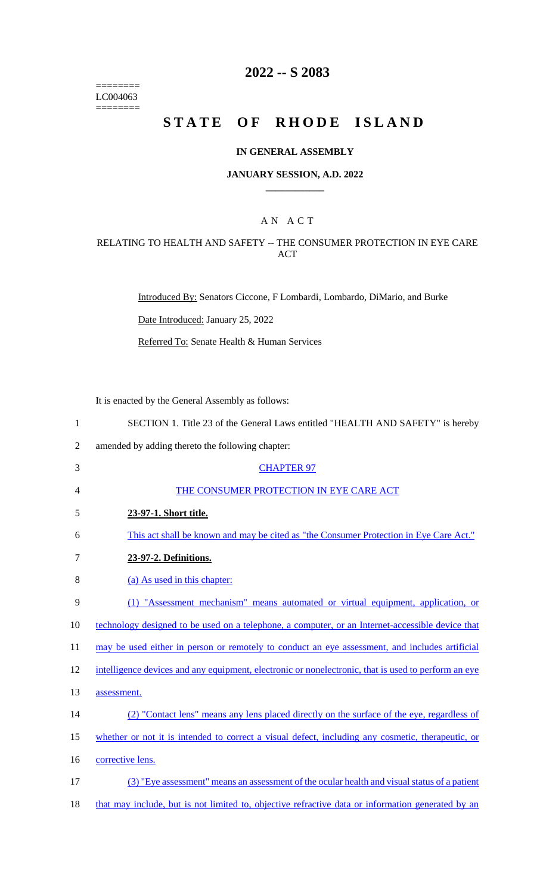======== LC004063  $=$ 

# **2022 -- S 2083**

# **STATE OF RHODE ISLAND**

#### **IN GENERAL ASSEMBLY**

#### **JANUARY SESSION, A.D. 2022 \_\_\_\_\_\_\_\_\_\_\_\_**

### A N A C T

### RELATING TO HEALTH AND SAFETY -- THE CONSUMER PROTECTION IN EYE CARE ACT

Introduced By: Senators Ciccone, F Lombardi, Lombardo, DiMario, and Burke

Date Introduced: January 25, 2022

Referred To: Senate Health & Human Services

It is enacted by the General Assembly as follows:

| $\mathbf{1}$   | SECTION 1. Title 23 of the General Laws entitled "HEALTH AND SAFETY" is hereby                      |
|----------------|-----------------------------------------------------------------------------------------------------|
| $\overline{2}$ | amended by adding thereto the following chapter:                                                    |
| 3              | <b>CHAPTER 97</b>                                                                                   |
| 4              | THE CONSUMER PROTECTION IN EYE CARE ACT                                                             |
| 5              | 23-97-1. Short title.                                                                               |
| 6              | This act shall be known and may be cited as "the Consumer Protection in Eye Care Act."              |
| $\tau$         | 23-97-2. Definitions.                                                                               |
| 8              | (a) As used in this chapter:                                                                        |
| 9              | (1) "Assessment mechanism" means automated or virtual equipment, application, or                    |
| 10             | technology designed to be used on a telephone, a computer, or an Internet-accessible device that    |
| 11             | may be used either in person or remotely to conduct an eye assessment, and includes artificial      |
| 12             | intelligence devices and any equipment, electronic or nonelectronic, that is used to perform an eye |
| 13             | assessment.                                                                                         |
| 14             | (2) "Contact lens" means any lens placed directly on the surface of the eye, regardless of          |
| 15             | whether or not it is intended to correct a visual defect, including any cosmetic, therapeutic, or   |
| 16             | corrective lens.                                                                                    |
| 17             | (3) "Eye assessment" means an assessment of the ocular health and visual status of a patient        |
| 18             | that may include, but is not limited to, objective refractive data or information generated by an   |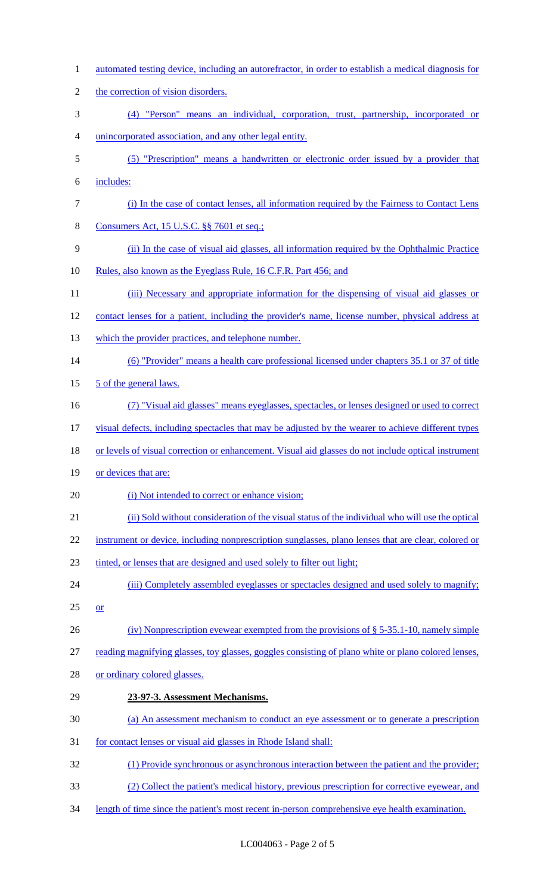automated testing device, including an autorefractor, in order to establish a medical diagnosis for 2 the correction of vision disorders. (4) "Person" means an individual, corporation, trust, partnership, incorporated or unincorporated association, and any other legal entity. (5) "Prescription" means a handwritten or electronic order issued by a provider that includes: (i) In the case of contact lenses, all information required by the Fairness to Contact Lens 8 Consumers Act, 15 U.S.C. §§ 7601 et seq.; (ii) In the case of visual aid glasses, all information required by the Ophthalmic Practice 10 Rules, also known as the Eyeglass Rule, 16 C.F.R. Part 456; and 11 (iii) Necessary and appropriate information for the dispensing of visual aid glasses or 12 contact lenses for a patient, including the provider's name, license number, physical address at 13 which the provider practices, and telephone number. (6) "Provider" means a health care professional licensed under chapters 35.1 or 37 of title 15 5 of the general laws. (7) "Visual aid glasses" means eyeglasses, spectacles, or lenses designed or used to correct visual defects, including spectacles that may be adjusted by the wearer to achieve different types 18 or levels of visual correction or enhancement. Visual aid glasses do not include optical instrument 19 or devices that are: 20 (i) Not intended to correct or enhance vision; (ii) Sold without consideration of the visual status of the individual who will use the optical 22 instrument or device, including nonprescription sunglasses, plano lenses that are clear, colored or tinted, or lenses that are designed and used solely to filter out light; 24 (iii) Completely assembled eyeglasses or spectacles designed and used solely to magnify;  $25 \quad or$  (iv) Nonprescription eyewear exempted from the provisions of § 5-35.1-10, namely simple reading magnifying glasses, toy glasses, goggles consisting of plano white or plano colored lenses, or ordinary colored glasses. **23-97-3. Assessment Mechanisms.**  (a) An assessment mechanism to conduct an eye assessment or to generate a prescription for contact lenses or visual aid glasses in Rhode Island shall: (1) Provide synchronous or asynchronous interaction between the patient and the provider; (2) Collect the patient's medical history, previous prescription for corrective eyewear, and length of time since the patient's most recent in-person comprehensive eye health examination.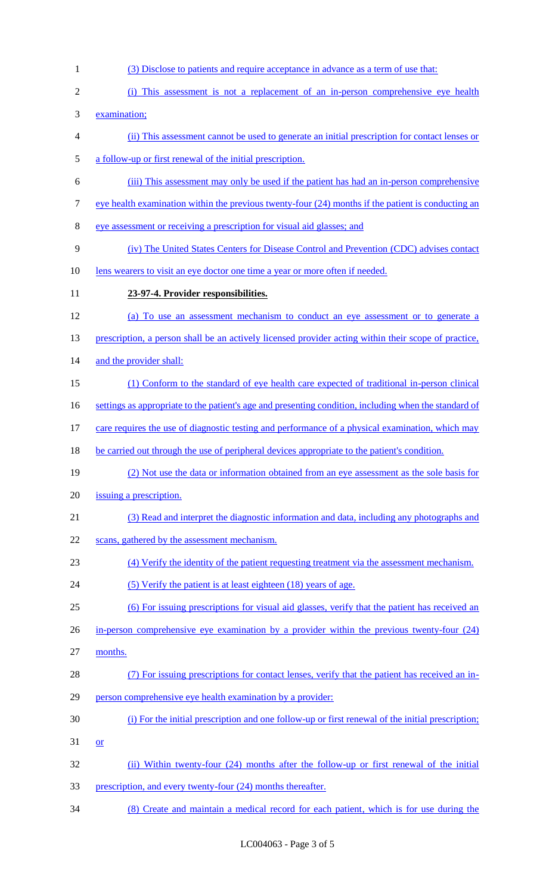examination; (ii) This assessment cannot be used to generate an initial prescription for contact lenses or a follow-up or first renewal of the initial prescription. (iii) This assessment may only be used if the patient has had an in-person comprehensive 7 eye health examination within the previous twenty-four (24) months if the patient is conducting an eye assessment or receiving a prescription for visual aid glasses; and (iv) The United States Centers for Disease Control and Prevention (CDC) advises contact 10 lens wearers to visit an eye doctor one time a year or more often if needed. **23-97-4. Provider responsibilities.**  (a) To use an assessment mechanism to conduct an eye assessment or to generate a 13 prescription, a person shall be an actively licensed provider acting within their scope of practice, 14 and the provider shall: (1) Conform to the standard of eye health care expected of traditional in-person clinical 16 settings as appropriate to the patient's age and presenting condition, including when the standard of 17 care requires the use of diagnostic testing and performance of a physical examination, which may 18 be carried out through the use of peripheral devices appropriate to the patient's condition. (2) Not use the data or information obtained from an eye assessment as the sole basis for issuing a prescription. (3) Read and interpret the diagnostic information and data, including any photographs and 22 scans, gathered by the assessment mechanism. (4) Verify the identity of the patient requesting treatment via the assessment mechanism. 24 (5) Verify the patient is at least eighteen (18) years of age. (6) For issuing prescriptions for visual aid glasses, verify that the patient has received an in-person comprehensive eye examination by a provider within the previous twenty-four (24) months. (7) For issuing prescriptions for contact lenses, verify that the patient has received an in- person comprehensive eye health examination by a provider: (i) For the initial prescription and one follow-up or first renewal of the initial prescription; or

(3) Disclose to patients and require acceptance in advance as a term of use that:

(i) This assessment is not a replacement of an in-person comprehensive eye health

- (ii) Within twenty-four (24) months after the follow-up or first renewal of the initial 33 prescription, and every twenty-four (24) months thereafter.
- (8) Create and maintain a medical record for each patient, which is for use during the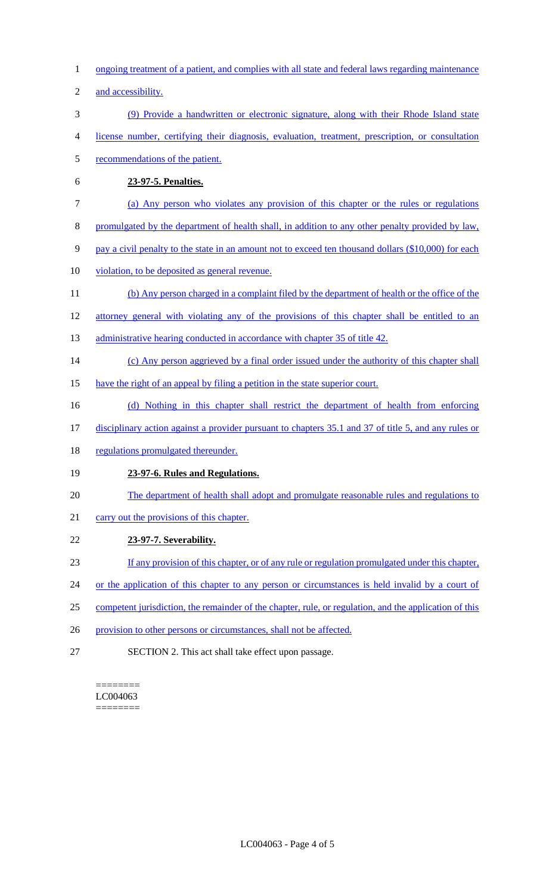- 1 ongoing treatment of a patient, and complies with all state and federal laws regarding maintenance
- 2 and accessibility.
- 3 (9) Provide a handwritten or electronic signature, along with their Rhode Island state
- 4 license number, certifying their diagnosis, evaluation, treatment, prescription, or consultation
- 5 recommendations of the patient.
- 6 **23-97-5. Penalties.**
- 7 (a) Any person who violates any provision of this chapter or the rules or regulations
- 8 promulgated by the department of health shall, in addition to any other penalty provided by law,
- 9 pay a civil penalty to the state in an amount not to exceed ten thousand dollars (\$10,000) for each
- 10 violation, to be deposited as general revenue.
- 11 (b) Any person charged in a complaint filed by the department of health or the office of the
- 12 attorney general with violating any of the provisions of this chapter shall be entitled to an
- 13 administrative hearing conducted in accordance with chapter 35 of title 42.
- 14 (c) Any person aggrieved by a final order issued under the authority of this chapter shall
- 15 have the right of an appeal by filing a petition in the state superior court.
- 16 (d) Nothing in this chapter shall restrict the department of health from enforcing
- 17 disciplinary action against a provider pursuant to chapters 35.1 and 37 of title 5, and any rules or
- 18 regulations promulgated thereunder.

# 19 **23-97-6. Rules and Regulations.**

- 20 The department of health shall adopt and promulgate reasonable rules and regulations to
- 21 carry out the provisions of this chapter.
- 22 **23-97-7. Severability.**
- 23 If any provision of this chapter, or of any rule or regulation promulgated under this chapter,
- 24 or the application of this chapter to any person or circumstances is held invalid by a court of
- 25 competent jurisdiction, the remainder of the chapter, rule, or regulation, and the application of this
- 26 provision to other persons or circumstances, shall not be affected.
- 27 SECTION 2. This act shall take effect upon passage.

======== LC004063 ========